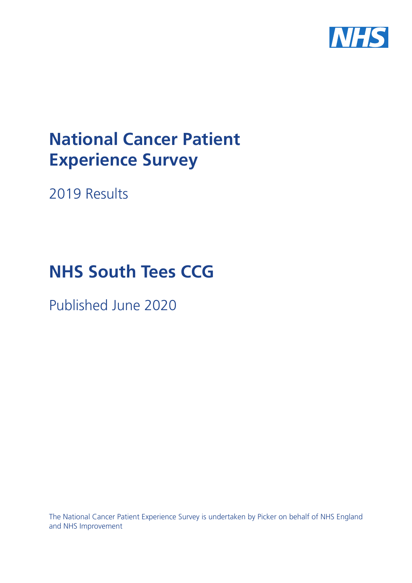

# **National Cancer Patient Experience Survey**

2019 Results

# **NHS South Tees CCG**

Published June 2020

The National Cancer Patient Experience Survey is undertaken by Picker on behalf of NHS England and NHS Improvement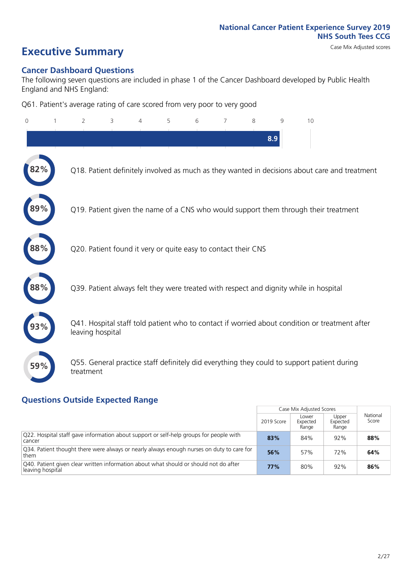# **Executive Summary** Case Mix Adjusted scores

#### **Cancer Dashboard Questions**

The following seven questions are included in phase 1 of the Cancer Dashboard developed by Public Health England and NHS England:

Q61. Patient's average rating of care scored from very poor to very good

| $\Omega$ | $\overline{2}$   | 3                                                             | 4 | 5 | 6 | 7 | 8 | 9   | 10                                                                                            |
|----------|------------------|---------------------------------------------------------------|---|---|---|---|---|-----|-----------------------------------------------------------------------------------------------|
|          |                  |                                                               |   |   |   |   |   | 8.9 |                                                                                               |
|          |                  |                                                               |   |   |   |   |   |     | Q18. Patient definitely involved as much as they wanted in decisions about care and treatment |
|          |                  |                                                               |   |   |   |   |   |     | Q19. Patient given the name of a CNS who would support them through their treatment           |
| 88%      |                  | Q20. Patient found it very or quite easy to contact their CNS |   |   |   |   |   |     |                                                                                               |
| 88%      |                  |                                                               |   |   |   |   |   |     | Q39. Patient always felt they were treated with respect and dignity while in hospital         |
|          | leaving hospital |                                                               |   |   |   |   |   |     | Q41. Hospital staff told patient who to contact if worried about condition or treatment after |
| 59%      | treatment        |                                                               |   |   |   |   |   |     | Q55. General practice staff definitely did everything they could to support patient during    |

### **Questions Outside Expected Range**

|                                                                                                           |            | Case Mix Adjusted Scores   |                            |                   |
|-----------------------------------------------------------------------------------------------------------|------------|----------------------------|----------------------------|-------------------|
|                                                                                                           | 2019 Score | Lower<br>Expected<br>Range | Upper<br>Expected<br>Range | National<br>Score |
| Q22. Hospital staff gave information about support or self-help groups for people with<br>cancer          | 83%        | 84%                        | 92%                        | 88%               |
| Q34. Patient thought there were always or nearly always enough nurses on duty to care for<br>them         | 56%        | 57%                        | 72%                        | 64%               |
| Q40. Patient given clear written information about what should or should not do after<br>leaving hospital | 77%        | 80%                        | 92%                        | 86%               |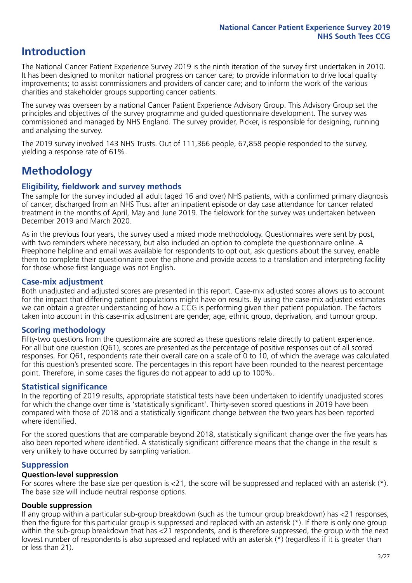# **Introduction**

The National Cancer Patient Experience Survey 2019 is the ninth iteration of the survey first undertaken in 2010. It has been designed to monitor national progress on cancer care; to provide information to drive local quality improvements; to assist commissioners and providers of cancer care; and to inform the work of the various charities and stakeholder groups supporting cancer patients.

The survey was overseen by a national Cancer Patient Experience Advisory Group. This Advisory Group set the principles and objectives of the survey programme and guided questionnaire development. The survey was commissioned and managed by NHS England. The survey provider, Picker, is responsible for designing, running and analysing the survey.

The 2019 survey involved 143 NHS Trusts. Out of 111,366 people, 67,858 people responded to the survey, yielding a response rate of 61%.

# **Methodology**

#### **Eligibility, eldwork and survey methods**

The sample for the survey included all adult (aged 16 and over) NHS patients, with a confirmed primary diagnosis of cancer, discharged from an NHS Trust after an inpatient episode or day case attendance for cancer related treatment in the months of April, May and June 2019. The fieldwork for the survey was undertaken between December 2019 and March 2020.

As in the previous four years, the survey used a mixed mode methodology. Questionnaires were sent by post, with two reminders where necessary, but also included an option to complete the questionnaire online. A Freephone helpline and email was available for respondents to opt out, ask questions about the survey, enable them to complete their questionnaire over the phone and provide access to a translation and interpreting facility for those whose first language was not English.

#### **Case-mix adjustment**

Both unadjusted and adjusted scores are presented in this report. Case-mix adjusted scores allows us to account for the impact that differing patient populations might have on results. By using the case-mix adjusted estimates we can obtain a greater understanding of how a CCG is performing given their patient population. The factors taken into account in this case-mix adjustment are gender, age, ethnic group, deprivation, and tumour group.

#### **Scoring methodology**

Fifty-two questions from the questionnaire are scored as these questions relate directly to patient experience. For all but one question (Q61), scores are presented as the percentage of positive responses out of all scored responses. For Q61, respondents rate their overall care on a scale of 0 to 10, of which the average was calculated for this question's presented score. The percentages in this report have been rounded to the nearest percentage point. Therefore, in some cases the figures do not appear to add up to 100%.

#### **Statistical significance**

In the reporting of 2019 results, appropriate statistical tests have been undertaken to identify unadjusted scores for which the change over time is 'statistically significant'. Thirty-seven scored questions in 2019 have been compared with those of 2018 and a statistically significant change between the two years has been reported where identified.

For the scored questions that are comparable beyond 2018, statistically significant change over the five years has also been reported where identified. A statistically significant difference means that the change in the result is very unlikely to have occurred by sampling variation.

#### **Suppression**

#### **Question-level suppression**

For scores where the base size per question is  $<$ 21, the score will be suppressed and replaced with an asterisk (\*). The base size will include neutral response options.

#### **Double suppression**

If any group within a particular sub-group breakdown (such as the tumour group breakdown) has <21 responses, then the figure for this particular group is suppressed and replaced with an asterisk (\*). If there is only one group within the sub-group breakdown that has <21 respondents, and is therefore suppressed, the group with the next lowest number of respondents is also supressed and replaced with an asterisk (\*) (regardless if it is greater than or less than 21).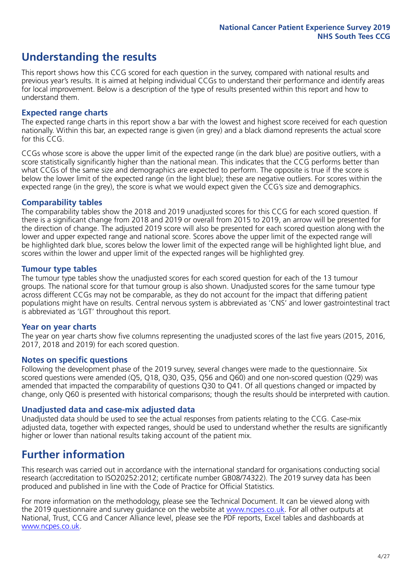# **Understanding the results**

This report shows how this CCG scored for each question in the survey, compared with national results and previous year's results. It is aimed at helping individual CCGs to understand their performance and identify areas for local improvement. Below is a description of the type of results presented within this report and how to understand them.

#### **Expected range charts**

The expected range charts in this report show a bar with the lowest and highest score received for each question nationally. Within this bar, an expected range is given (in grey) and a black diamond represents the actual score for this CCG.

CCGs whose score is above the upper limit of the expected range (in the dark blue) are positive outliers, with a score statistically significantly higher than the national mean. This indicates that the CCG performs better than what CCGs of the same size and demographics are expected to perform. The opposite is true if the score is below the lower limit of the expected range (in the light blue); these are negative outliers. For scores within the expected range (in the grey), the score is what we would expect given the CCG's size and demographics.

#### **Comparability tables**

The comparability tables show the 2018 and 2019 unadjusted scores for this CCG for each scored question. If there is a significant change from 2018 and 2019 or overall from 2015 to 2019, an arrow will be presented for the direction of change. The adjusted 2019 score will also be presented for each scored question along with the lower and upper expected range and national score. Scores above the upper limit of the expected range will be highlighted dark blue, scores below the lower limit of the expected range will be highlighted light blue, and scores within the lower and upper limit of the expected ranges will be highlighted grey.

#### **Tumour type tables**

The tumour type tables show the unadjusted scores for each scored question for each of the 13 tumour groups. The national score for that tumour group is also shown. Unadjusted scores for the same tumour type across different CCGs may not be comparable, as they do not account for the impact that differing patient populations might have on results. Central nervous system is abbreviated as 'CNS' and lower gastrointestinal tract is abbreviated as 'LGT' throughout this report.

#### **Year on year charts**

The year on year charts show five columns representing the unadjusted scores of the last five years (2015, 2016, 2017, 2018 and 2019) for each scored question.

#### **Notes on specific questions**

Following the development phase of the 2019 survey, several changes were made to the questionnaire. Six scored questions were amended (Q5, Q18, Q30, Q35, Q56 and Q60) and one non-scored question (Q29) was amended that impacted the comparability of questions Q30 to Q41. Of all questions changed or impacted by change, only Q60 is presented with historical comparisons; though the results should be interpreted with caution.

#### **Unadjusted data and case-mix adjusted data**

Unadjusted data should be used to see the actual responses from patients relating to the CCG. Case-mix adjusted data, together with expected ranges, should be used to understand whether the results are significantly higher or lower than national results taking account of the patient mix.

### **Further information**

This research was carried out in accordance with the international standard for organisations conducting social research (accreditation to ISO20252:2012; certificate number GB08/74322). The 2019 survey data has been produced and published in line with the Code of Practice for Official Statistics.

For more information on the methodology, please see the Technical Document. It can be viewed along with the 2019 questionnaire and survey quidance on the website at [www.ncpes.co.uk](https://www.ncpes.co.uk/supporting-documents). For all other outputs at National, Trust, CCG and Cancer Alliance level, please see the PDF reports, Excel tables and dashboards at [www.ncpes.co.uk.](https://www.ncpes.co.uk/current-results)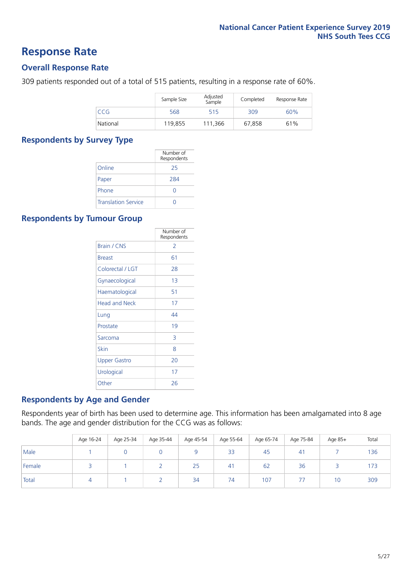### **Response Rate**

#### **Overall Response Rate**

309 patients responded out of a total of 515 patients, resulting in a response rate of 60%.

|          | Sample Size | Adjusted<br>Sample | Completed | Response Rate |
|----------|-------------|--------------------|-----------|---------------|
| CCG      | 568         | 515                | 309       | 60%           |
| National | 119,855     | 111.366            | 67,858    | 61%           |

#### **Respondents by Survey Type**

|                            | Number of<br>Respondents |
|----------------------------|--------------------------|
| Online                     | 25                       |
| Paper                      | 284                      |
| Phone                      | $\left( \right)$         |
| <b>Translation Service</b> |                          |

#### **Respondents by Tumour Group**

|                      | Number of<br>Respondents |
|----------------------|--------------------------|
| Brain / CNS          | $\mathcal{P}$            |
| <b>Breast</b>        | 61                       |
| Colorectal / LGT     | 28                       |
| Gynaecological       | 1 <sub>3</sub>           |
| Haematological       | 51                       |
| <b>Head and Neck</b> | 17                       |
| Lung                 | 44                       |
| Prostate             | 19                       |
| Sarcoma              | 3                        |
| Skin                 | 8                        |
| <b>Upper Gastro</b>  | 20                       |
| Urological           | 17                       |
| Other                | 26                       |

#### **Respondents by Age and Gender**

Respondents year of birth has been used to determine age. This information has been amalgamated into 8 age bands. The age and gender distribution for the CCG was as follows:

|        | Age 16-24 | Age 25-34 | Age 35-44 | Age 45-54 | Age 55-64 | Age 65-74 | Age 75-84 | Age 85+ | Total |
|--------|-----------|-----------|-----------|-----------|-----------|-----------|-----------|---------|-------|
| Male   |           |           |           |           | 33        | 45        | 41        |         | 136   |
| Female |           |           |           | 25        | 41        | 62        | 36        |         | 173   |
| Total  |           |           |           | 34        | 74        | 107       |           | 10      | 309   |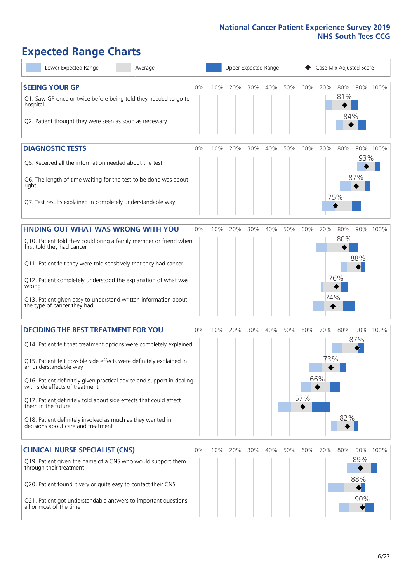# **Expected Range Charts**

| Lower Expected Range<br>Average                                                                                                                                                                                                                                                                                                                                                                                                                                                                                             | Upper Expected Range<br>Case Mix Adjusted Score |     |         |     |     |     |            |                   |                   |                   |          |
|-----------------------------------------------------------------------------------------------------------------------------------------------------------------------------------------------------------------------------------------------------------------------------------------------------------------------------------------------------------------------------------------------------------------------------------------------------------------------------------------------------------------------------|-------------------------------------------------|-----|---------|-----|-----|-----|------------|-------------------|-------------------|-------------------|----------|
| <b>SEEING YOUR GP</b><br>Q1. Saw GP once or twice before being told they needed to go to<br>hospital<br>Q2. Patient thought they were seen as soon as necessary                                                                                                                                                                                                                                                                                                                                                             | $0\%$                                           | 10% | 20%     | 30% | 40% | 50% | 60%        | 70%               | 80%<br>81%<br>84% |                   | 90% 100% |
| <b>DIAGNOSTIC TESTS</b><br>Q5. Received all the information needed about the test<br>Q6. The length of time waiting for the test to be done was about<br>right<br>Q7. Test results explained in completely understandable way                                                                                                                                                                                                                                                                                               | $0\%$                                           | 10% | 20%     | 30% | 40% | 50% | 60%        | 70%               | 80%<br>75%        | 93%<br>87%        | 90% 100% |
| <b>FINDING OUT WHAT WAS WRONG WITH YOU</b><br>Q10. Patient told they could bring a family member or friend when<br>first told they had cancer<br>Q11. Patient felt they were told sensitively that they had cancer<br>Q12. Patient completely understood the explanation of what was<br>wrong<br>Q13. Patient given easy to understand written information about<br>the type of cancer they had                                                                                                                             | 0%                                              | 10% | 20%     | 30% | 40% | 50% | 60%        | 70%<br>74%        | 80%<br>80%<br>76% | 88%               | 90% 100% |
| <b>DECIDING THE BEST TREATMENT FOR YOU</b><br>Q14. Patient felt that treatment options were completely explained<br>Q15. Patient felt possible side effects were definitely explained in<br>an understandable way<br>Q16. Patient definitely given practical advice and support in dealing<br>with side effects of treatment<br>Q17. Patient definitely told about side effects that could affect<br>them in the future<br>Q18. Patient definitely involved as much as they wanted in<br>decisions about care and treatment | $0\%$                                           | 10% | 20%     | 30% | 40% | 50% | 60%<br>57% | 70%<br>73%<br>66% | 80%<br>82%        | 87%               | 90% 100% |
| <b>CLINICAL NURSE SPECIALIST (CNS)</b><br>Q19. Patient given the name of a CNS who would support them<br>through their treatment<br>Q20. Patient found it very or quite easy to contact their CNS<br>Q21. Patient got understandable answers to important questions<br>all or most of the time                                                                                                                                                                                                                              | $0\%$                                           |     | 10% 20% | 30% | 40% | 50% | 60%        | 70%               | 80%               | 89%<br>88%<br>90% | 90% 100% |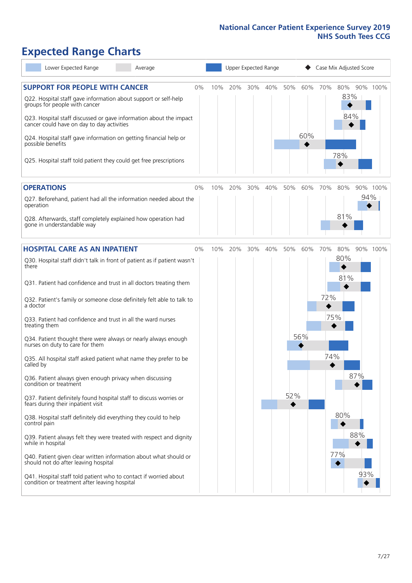# **Expected Range Charts**

| Lower Expected Range<br>Average                                                                                                                                                                                 |    |     |     | Upper Expected Range |     |     |     |     | Case Mix Adjusted Score |     |          |
|-----------------------------------------------------------------------------------------------------------------------------------------------------------------------------------------------------------------|----|-----|-----|----------------------|-----|-----|-----|-----|-------------------------|-----|----------|
| <b>SUPPORT FOR PEOPLE WITH CANCER</b><br>Q22. Hospital staff gave information about support or self-help<br>groups for people with cancer<br>Q23. Hospital staff discussed or gave information about the impact | 0% | 10% | 20% | 30%                  | 40% | 50% | 60% | 70% | 80%<br>83%<br>84%       |     | 90% 100% |
| cancer could have on day to day activities<br>Q24. Hospital staff gave information on getting financial help or<br>possible benefits                                                                            |    |     |     |                      |     |     | 60% |     | 78%                     |     |          |
| Q25. Hospital staff told patient they could get free prescriptions                                                                                                                                              |    |     |     |                      |     |     |     |     |                         |     |          |
| <b>OPERATIONS</b>                                                                                                                                                                                               | 0% | 10% | 20% | 30%                  | 40% | 50% | 60% | 70% | 80%                     |     | 90% 100% |
| Q27. Beforehand, patient had all the information needed about the<br>operation                                                                                                                                  |    |     |     |                      |     |     |     |     |                         | 94% |          |
| Q28. Afterwards, staff completely explained how operation had<br>gone in understandable way                                                                                                                     |    |     |     |                      |     |     |     |     | 81%                     |     |          |
| <b>HOSPITAL CARE AS AN INPATIENT</b>                                                                                                                                                                            | 0% | 10% | 20% | 30%                  | 40% | 50% | 60% | 70% | 80%                     |     | 90% 100% |
| Q30. Hospital staff didn't talk in front of patient as if patient wasn't<br>there                                                                                                                               |    |     |     |                      |     |     |     |     | 80%<br>81%              |     |          |
| Q31. Patient had confidence and trust in all doctors treating them                                                                                                                                              |    |     |     |                      |     |     |     |     |                         |     |          |
| Q32. Patient's family or someone close definitely felt able to talk to<br>a doctor                                                                                                                              |    |     |     |                      |     |     |     | 72% |                         |     |          |
| Q33. Patient had confidence and trust in all the ward nurses<br>treating them                                                                                                                                   |    |     |     |                      |     |     |     | 75% |                         |     |          |
| Q34. Patient thought there were always or nearly always enough<br>nurses on duty to care for them                                                                                                               |    |     |     |                      |     |     | 56% |     |                         |     |          |
| Q35. All hospital staff asked patient what name they prefer to be<br>called by                                                                                                                                  |    |     |     |                      |     |     |     | 74% |                         |     |          |
| Q36. Patient always given enough privacy when discussing<br>condition or treatment                                                                                                                              |    |     |     |                      |     |     |     |     |                         | 87% |          |
| Q37. Patient definitely found hospital staff to discuss worries or<br>fears during their inpatient visit                                                                                                        |    |     |     |                      |     | 52% |     |     |                         |     |          |
| Q38. Hospital staff definitely did everything they could to help<br>control pain                                                                                                                                |    |     |     |                      |     |     |     |     | 80%                     |     |          |
| Q39. Patient always felt they were treated with respect and dignity<br>while in hospital                                                                                                                        |    |     |     |                      |     |     |     |     |                         | 88% |          |
| Q40. Patient given clear written information about what should or<br>should not do after leaving hospital                                                                                                       |    |     |     |                      |     |     |     |     | 77%                     |     |          |
| Q41. Hospital staff told patient who to contact if worried about<br>condition or treatment after leaving hospital                                                                                               |    |     |     |                      |     |     |     |     |                         | 93% |          |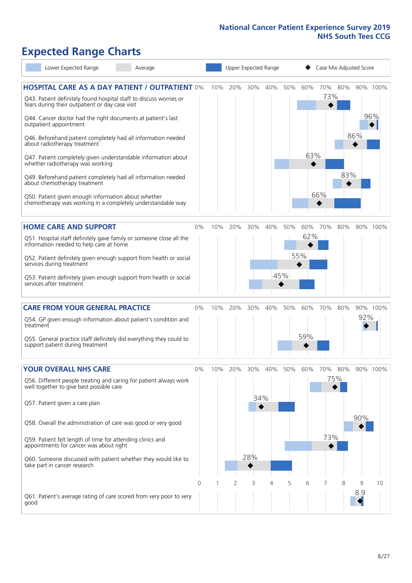# **Expected Range Charts**

| Lower Expected Range                                                                                                  | Average |          |     |     |     | Upper Expected Range |     |     |     | Case Mix Adjusted Score |     |          |
|-----------------------------------------------------------------------------------------------------------------------|---------|----------|-----|-----|-----|----------------------|-----|-----|-----|-------------------------|-----|----------|
| <b>HOSPITAL CARE AS A DAY PATIENT / OUTPATIENT 0%</b>                                                                 |         |          | 10% | 20% | 30% | 40%                  | 50% | 60% | 70% | 80%                     |     | 90% 100% |
| Q43. Patient definitely found hospital staff to discuss worries or<br>fears during their outpatient or day case visit |         |          |     |     |     |                      |     |     | 73% |                         |     |          |
| Q44. Cancer doctor had the right documents at patient's last<br>outpatient appointment                                |         |          |     |     |     |                      |     |     |     |                         |     | 96%      |
| Q46. Beforehand patient completely had all information needed<br>about radiotherapy treatment                         |         |          |     |     |     |                      |     |     |     |                         | 86% |          |
| Q47. Patient completely given understandable information about<br>whether radiotherapy was working                    |         |          |     |     |     |                      |     | 63% |     |                         |     |          |
| Q49. Beforehand patient completely had all information needed<br>about chemotherapy treatment                         |         |          |     |     |     |                      |     |     |     | 83%                     |     |          |
| Q50. Patient given enough information about whether<br>chemotherapy was working in a completely understandable way    |         |          |     |     |     |                      |     |     | 66% |                         |     |          |
| <b>HOME CARE AND SUPPORT</b>                                                                                          |         | 0%       | 10% | 20% | 30% | 40%                  | 50% | 60% | 70% | 80%                     |     | 90% 100% |
| Q51. Hospital staff definitely gave family or someone close all the<br>information needed to help care at home        |         |          |     |     |     |                      |     | 62% |     |                         |     |          |
| Q52. Patient definitely given enough support from health or social<br>services during treatment                       |         |          |     |     |     |                      |     | 55% |     |                         |     |          |
| Q53. Patient definitely given enough support from health or social<br>services after treatment                        |         |          |     |     |     |                      | 45% |     |     |                         |     |          |
| <b>CARE FROM YOUR GENERAL PRACTICE</b>                                                                                |         | $0\%$    | 10% | 20% | 30% | 40%                  | 50% | 60% | 70% | 80%                     |     | 90% 100% |
| Q54. GP given enough information about patient's condition and<br>treatment                                           |         |          |     |     |     |                      |     |     |     |                         | 92% |          |
| Q55. General practice staff definitely did everything they could to<br>support patient during treatment               |         |          |     |     |     |                      |     | 59% |     |                         |     |          |
| <b>YOUR OVERALL NHS CARE</b>                                                                                          |         | 0%       | 10% | 20% | 30% | 40%                  | 50% | 60% | 70% | 80%                     |     | 90% 100% |
| Q56. Different people treating and caring for patient always work<br>well together to give best possible care         |         |          |     |     |     |                      |     |     |     | 75%                     |     |          |
| Q57. Patient given a care plan                                                                                        |         |          |     |     | 34% |                      |     |     |     |                         |     |          |
| Q58. Overall the administration of care was good or very good                                                         |         |          |     |     |     |                      |     |     |     |                         | 90% |          |
| Q59. Patient felt length of time for attending clinics and<br>appointments for cancer was about right                 |         |          |     |     |     |                      |     |     | 73% |                         |     |          |
| Q60. Someone discussed with patient whether they would like to<br>take part in cancer research                        |         |          |     |     | 28% |                      |     |     |     |                         |     |          |
|                                                                                                                       |         | $\Omega$ |     | 2   | 3   | 4                    | 5   | 6   |     | 8                       | 9   | 10       |
| Q61. Patient's average rating of care scored from very poor to very<br>good                                           |         |          |     |     |     |                      |     |     |     |                         | 8.9 |          |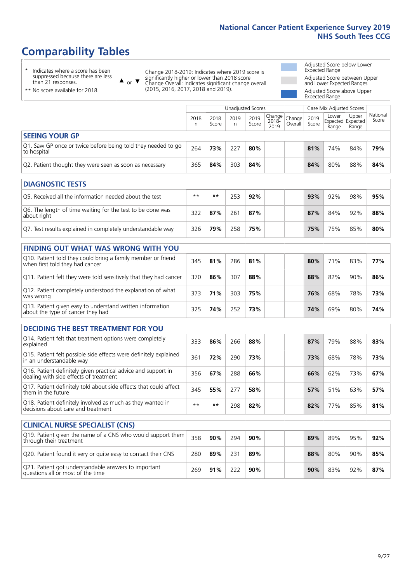# **Comparability Tables**

\* Indicates where a score has been suppressed because there are less than 21 responses.

\*\* No score available for 2018.

 $\triangle$  or  $\nabla$ 

Change 2018-2019: Indicates where 2019 score is significantly higher or lower than 2018 score Change Overall: Indicates significant change overall (2015, 2016, 2017, 2018 and 2019).

Adjusted Score below Lower Expected Range Adjusted Score between Upper and Lower Expected Ranges Adjusted Score above Upper

Expected Range

|                                                                                                                                  |           |               |           | <b>Unadjusted Scores</b> |                            |                   |               | Case Mix Adjusted Scores            |                |                   |
|----------------------------------------------------------------------------------------------------------------------------------|-----------|---------------|-----------|--------------------------|----------------------------|-------------------|---------------|-------------------------------------|----------------|-------------------|
|                                                                                                                                  | 2018<br>n | 2018<br>Score | 2019<br>n | 2019<br>Score            | Change<br>$2018 -$<br>2019 | Change<br>Overall | 2019<br>Score | Lower<br>Expected Expected<br>Range | Upper<br>Range | National<br>Score |
| <b>SEEING YOUR GP</b>                                                                                                            |           |               |           |                          |                            |                   |               |                                     |                |                   |
| Q1. Saw GP once or twice before being told they needed to go<br>to hospital                                                      | 264       | 73%           | 227       | 80%                      |                            |                   | 81%           | 74%                                 | 84%            | 79%               |
| Q2. Patient thought they were seen as soon as necessary                                                                          | 365       | 84%           | 303       | 84%                      |                            |                   | 84%           | 80%                                 | 88%            | 84%               |
| <b>DIAGNOSTIC TESTS</b>                                                                                                          |           |               |           |                          |                            |                   |               |                                     |                |                   |
| O5. Received all the information needed about the test                                                                           | $* *$     | $***$         | 253       | 92%                      |                            |                   | 93%           | 92%                                 | 98%            | 95%               |
| Q6. The length of time waiting for the test to be done was<br>about right                                                        | 322       | 87%           | 261       | 87%                      |                            |                   | 87%           | 84%                                 | 92%            | 88%               |
| Q7. Test results explained in completely understandable way                                                                      | 326       | 79%           | 258       | 75%                      |                            |                   | 75%           | 75%                                 | 85%            | 80%               |
| <b>FINDING OUT WHAT WAS WRONG WITH YOU</b>                                                                                       |           |               |           |                          |                            |                   |               |                                     |                |                   |
| Q10. Patient told they could bring a family member or friend<br>when first told they had cancer                                  | 345       | 81%           | 286       | 81%                      |                            |                   | 80%           | 71%                                 | 83%            | 77%               |
| Q11. Patient felt they were told sensitively that they had cancer                                                                | 370       | 86%           | 307       | 88%                      |                            |                   | 88%           | 82%                                 | 90%            | 86%               |
| Q12. Patient completely understood the explanation of what<br>was wrong                                                          | 373       | 71%           | 303       | 75%                      |                            |                   | 76%           | 68%                                 | 78%            | 73%               |
| Q13. Patient given easy to understand written information<br>about the type of cancer they had                                   | 325       | 74%           | 252       | 73%                      |                            |                   | 74%           | 69%                                 | 80%            | 74%               |
| <b>DECIDING THE BEST TREATMENT FOR YOU</b>                                                                                       |           |               |           |                          |                            |                   |               |                                     |                |                   |
| Q14. Patient felt that treatment options were completely<br>explained                                                            | 333       | 86%           | 266       | 88%                      |                            |                   | 87%           | 79%                                 | 88%            | 83%               |
| Q15. Patient felt possible side effects were definitely explained<br>in an understandable way                                    | 361       | 72%           | 290       | 73%                      |                            |                   | 73%           | 68%                                 | 78%            | 73%               |
| Q16. Patient definitely given practical advice and support in<br>dealing with side effects of treatment                          | 356       | 67%           | 288       | 66%                      |                            |                   | 66%           | 62%                                 | 73%            | 67%               |
| Q17. Patient definitely told about side effects that could affect<br>them in the future                                          | 345       | 55%           | 277       | 58%                      |                            |                   | 57%           | 51%                                 | 63%            | 57%               |
| Q18. Patient definitely involved as much as they wanted in<br>decisions about care and treatment                                 | $**$      | $***$         | 298       | 82%                      |                            |                   | 82%           | 77%                                 | 85%            | 81%               |
|                                                                                                                                  |           |               |           |                          |                            |                   |               |                                     |                |                   |
| <b>CLINICAL NURSE SPECIALIST (CNS)</b><br>Q19. Patient given the name of a CNS who would support them<br>through their treatment | 358       | 90%           | 294       | 90%                      |                            |                   | 89%           | 89%                                 | 95%            | 92%               |

| Q19. Patient given the name of a CNS who would support them<br>through their treatment    | 358 | 90% | 294 | 90% |  | 89% | 89% | 95% | 92% |
|-------------------------------------------------------------------------------------------|-----|-----|-----|-----|--|-----|-----|-----|-----|
| Q20. Patient found it very or quite easy to contact their CNS                             | 280 | 89% | 231 | 89% |  | 88% | 80% | 90% | 85% |
| Q21. Patient got understandable answers to important<br>questions all or most of the time | 269 | 91% | 222 | 90% |  | 90% | 83% | 92% | 87% |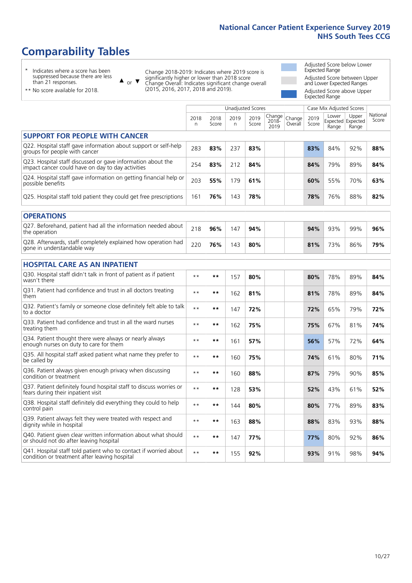# **Comparability Tables**

\* Indicates where a score has been suppressed because there are less than 21 responses.

\*\* No score available for 2018.

 $\triangle$  or  $\nabla$ 

Change 2018-2019: Indicates where 2019 score is significantly higher or lower than 2018 score Change Overall: Indicates significant change overall (2015, 2016, 2017, 2018 and 2019).

Adjusted Score below Lower Expected Range Adjusted Score between Upper and Lower Expected Ranges Adjusted Score above Upper Expected Range

|                                                                                                                   |              |               | Unadjusted Scores |               |                         |                   |               | Case Mix Adjusted Scores            |                |                   |
|-------------------------------------------------------------------------------------------------------------------|--------------|---------------|-------------------|---------------|-------------------------|-------------------|---------------|-------------------------------------|----------------|-------------------|
|                                                                                                                   | 2018<br>n    | 2018<br>Score | 2019<br>n.        | 2019<br>Score | Change<br>2018-<br>2019 | Change<br>Overall | 2019<br>Score | Lower<br>Expected Expected<br>Range | Upper<br>Range | National<br>Score |
| <b>SUPPORT FOR PEOPLE WITH CANCER</b>                                                                             |              |               |                   |               |                         |                   |               |                                     |                |                   |
| Q22. Hospital staff gave information about support or self-help<br>groups for people with cancer                  | 283          | 83%           | 237               | 83%           |                         |                   | 83%           | 84%                                 | 92%            | 88%               |
| Q23. Hospital staff discussed or gave information about the<br>impact cancer could have on day to day activities  | 254          | 83%           | 212               | 84%           |                         |                   | 84%           | 79%                                 | 89%            | 84%               |
| Q24. Hospital staff gave information on getting financial help or<br>possible benefits                            | 203          | 55%           | 179               | 61%           |                         |                   | 60%           | 55%                                 | 70%            | 63%               |
| Q25. Hospital staff told patient they could get free prescriptions                                                | 161          | 76%           | 143               | 78%           |                         |                   | 78%           | 76%                                 | 88%            | 82%               |
| <b>OPERATIONS</b>                                                                                                 |              |               |                   |               |                         |                   |               |                                     |                |                   |
| Q27. Beforehand, patient had all the information needed about<br>the operation                                    | 218          | 96%           | 147               | 94%           |                         |                   | 94%           | 93%                                 | 99%            | 96%               |
| Q28. Afterwards, staff completely explained how operation had<br>gone in understandable way                       | 220          | 76%           | 143               | 80%           |                         |                   | 81%           | 73%                                 | 86%            | 79%               |
| <b>HOSPITAL CARE AS AN INPATIENT</b>                                                                              |              |               |                   |               |                         |                   |               |                                     |                |                   |
| Q30. Hospital staff didn't talk in front of patient as if patient<br>wasn't there                                 | $* *$        | $***$         | 157               | 80%           |                         |                   | 80%           | 78%                                 | 89%            | 84%               |
| Q31. Patient had confidence and trust in all doctors treating<br>them                                             | $**$         | $***$         | 162               | 81%           |                         |                   | 81%           | 78%                                 | 89%            | 84%               |
| Q32. Patient's family or someone close definitely felt able to talk<br>to a doctor                                | $**$         | **            | 147               | 72%           |                         |                   | 72%           | 65%                                 | 79%            | 72%               |
| Q33. Patient had confidence and trust in all the ward nurses<br>treating them                                     | $**$         | $***$         | 162               | 75%           |                         |                   | 75%           | 67%                                 | 81%            | 74%               |
| Q34. Patient thought there were always or nearly always<br>enough nurses on duty to care for them                 | $**$         | $***$         | 161               | 57%           |                         |                   | 56%           | 57%                                 | 72%            | 64%               |
| Q35. All hospital staff asked patient what name they prefer to<br>be called by                                    | $* *$        | $**$          | 160               | 75%           |                         |                   | 74%           | 61%                                 | 80%            | 71%               |
| Q36. Patient always given enough privacy when discussing<br>condition or treatment                                | $**$         | $***$         | 160               | 88%           |                         |                   | 87%           | 79%                                 | 90%            | 85%               |
| Q37. Patient definitely found hospital staff to discuss worries or<br>fears during their inpatient visit          | $\star\star$ | $***$         | 128               | 53%           |                         |                   | 52%           | 43%                                 | 61%            | 52%               |
| Q38. Hospital staff definitely did everything they could to help<br>control pain                                  | $**$         | $***$         | 144               | 80%           |                         |                   | 80%           | 77%                                 | 89%            | 83%               |
| Q39. Patient always felt they were treated with respect and<br>dignity while in hospital                          | $* *$        | $***$         | 163               | 88%           |                         |                   | 88%           | 83%                                 | 93%            | 88%               |
| Q40. Patient given clear written information about what should<br>or should not do after leaving hospital         | $**$         | **            | 147               | 77%           |                         |                   | 77%           | 80%                                 | 92%            | 86%               |
| Q41. Hospital staff told patient who to contact if worried about<br>condition or treatment after leaving hospital | $* *$        | $***$         | 155               | 92%           |                         |                   | 93%           | 91%                                 | 98%            | 94%               |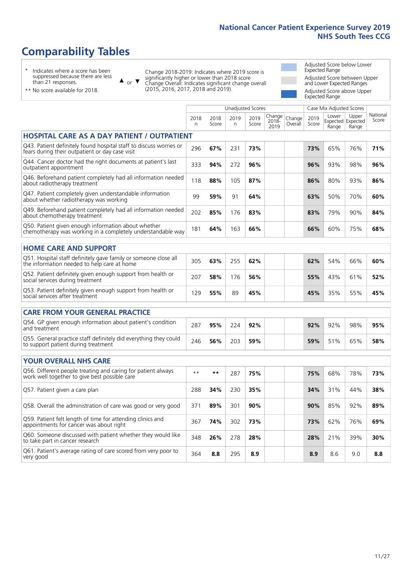# **Comparability Tables**

\* Indicates where a score has been suppressed because there are less than 21 responses.

 $\triangle$  or  $\nabla$ 

Change 2018-2019: Indicates where 2019 score is significantly higher or lower than 2018 score Change Overall: Indicates significant change overall (2015, 2016, 2017, 2018 and 2019).

Adjusted Score below Lower Expected Range Adjusted Score between Upper and Lower Expected Ranges Adjusted Score above Upper Expected Range

| $$ $$ $$ $$ $$ $$ $$ $$ $$      |  |
|---------------------------------|--|
| ** No score available for 2018. |  |

|                                                                                                                       |              |               |           | <b>Unadjusted Scores</b> |                            |                   |               | Case Mix Adjusted Scores |                                     |                   |
|-----------------------------------------------------------------------------------------------------------------------|--------------|---------------|-----------|--------------------------|----------------------------|-------------------|---------------|--------------------------|-------------------------------------|-------------------|
|                                                                                                                       | 2018<br>n    | 2018<br>Score | 2019<br>n | 2019<br>Score            | Change<br>$2018 -$<br>2019 | Change<br>Overall | 2019<br>Score | Lower<br>Range           | Upper<br>Expected Expected<br>Range | National<br>Score |
| <b>HOSPITAL CARE AS A DAY PATIENT / OUTPATIENT</b>                                                                    |              |               |           |                          |                            |                   |               |                          |                                     |                   |
| Q43. Patient definitely found hospital staff to discuss worries or<br>fears during their outpatient or day case visit | 296          | 67%           | 231       | 73%                      |                            |                   | 73%           | 65%                      | 76%                                 | 71%               |
| Q44. Cancer doctor had the right documents at patient's last<br>outpatient appointment                                | 333          | 94%           | 272       | 96%                      |                            |                   | 96%           | 93%                      | 98%                                 | 96%               |
| Q46. Beforehand patient completely had all information needed<br>about radiotherapy treatment                         | 118          | 88%           | 105       | 87%                      |                            |                   | 86%           | 80%                      | 93%                                 | 86%               |
| Q47. Patient completely given understandable information<br>about whether radiotherapy was working                    | 99           | 59%           | 91        | 64%                      |                            |                   | 63%           | 50%                      | 70%                                 | 60%               |
| Q49. Beforehand patient completely had all information needed<br>about chemotherapy treatment                         | 202          | 85%           | 176       | 83%                      |                            |                   | 83%           | 79%                      | 90%                                 | 84%               |
| Q50. Patient given enough information about whether<br>chemotherapy was working in a completely understandable way    | 181          | 64%           | 163       | 66%                      |                            |                   | 66%           | 60%                      | 75%                                 | 68%               |
| <b>HOME CARE AND SUPPORT</b>                                                                                          |              |               |           |                          |                            |                   |               |                          |                                     |                   |
| Q51. Hospital staff definitely gave family or someone close all<br>the information needed to help care at home        | 305          | 63%           | 255       | 62%                      |                            |                   | 62%           | 54%                      | 66%                                 | 60%               |
| Q52. Patient definitely given enough support from health or<br>social services during treatment                       | 207          | 58%           | 176       | 56%                      |                            |                   | 55%           | 43%                      | 61%                                 | 52%               |
| Q53. Patient definitely given enough support from health or<br>social services after treatment                        | 129          | 55%           | 89        | 45%                      |                            |                   | 45%           | 35%                      | 55%                                 | 45%               |
| <b>CARE FROM YOUR GENERAL PRACTICE</b>                                                                                |              |               |           |                          |                            |                   |               |                          |                                     |                   |
| Q54. GP given enough information about patient's condition<br>and treatment                                           | 287          | 95%           | 224       | 92%                      |                            |                   | 92%           | 92%                      | 98%                                 | 95%               |
| Q55. General practice staff definitely did everything they could<br>to support patient during treatment               | 246          | 56%           | 203       | 59%                      |                            |                   | 59%           | 51%                      | 65%                                 | 58%               |
| <b>YOUR OVERALL NHS CARE</b>                                                                                          |              |               |           |                          |                            |                   |               |                          |                                     |                   |
| Q56. Different people treating and caring for patient always<br>work well together to give best possible care         | $\star\star$ | $***$         | 287       | 75%                      |                            |                   | 75%           | 68%                      | 78%                                 | 73%               |
| Q57. Patient given a care plan                                                                                        | 288          | 34%           | 230       | 35%                      |                            |                   | 34%           | 31%                      | 44%                                 | 38%               |
| Q58. Overall the administration of care was good or very good                                                         | 371          | 89%           | 301       | 90%                      |                            |                   | 90%           | 85%                      | 92%                                 | 89%               |
| Q59. Patient felt length of time for attending clinics and<br>appointments for cancer was about right                 | 367          | 74%           | 302       | 73%                      |                            |                   | 73%           | 62%                      | 76%                                 | 69%               |
| Q60. Someone discussed with patient whether they would like<br>to take part in cancer research                        | 348          | 26%           | 278       | 28%                      |                            |                   | 28%           | 21%                      | 39%                                 | 30%               |
| Q61. Patient's average rating of care scored from very poor to<br>very good                                           | 364          | 8.8           | 295       | 8.9                      |                            |                   | 8.9           | 8.6                      | 9.0                                 | 8.8               |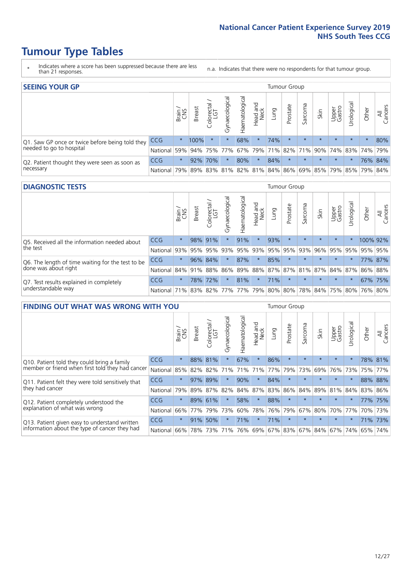# **Tumour Type Tables**

- \* Indicates where a score has been suppressed because there are less than 21 responses.
- n.a. Indicates that there were no respondents for that tumour group.

| <b>SEEING YOUR GP</b>                           |            |          |               |                   |                    |                |                  |                 | Tumour Group |         |         |                 |                                                 |         |                |
|-------------------------------------------------|------------|----------|---------------|-------------------|--------------------|----------------|------------------|-----------------|--------------|---------|---------|-----------------|-------------------------------------------------|---------|----------------|
|                                                 |            | Brain    | <b>Breast</b> | Colorectal<br>LGT | ᠊ᢛ<br>Gynaecologic | Haematological | Head and<br>Neck | Lung            | Prostate     | Sarcoma | Skin    | Upper<br>Gastro | –<br>Irologica                                  | Other   | All<br>Cancers |
| Q1. Saw GP once or twice before being told they | <b>CCG</b> | $^\star$ | 100%          | $\star$           |                    | 68%            | $\star$          | 74%             | $\star$      | $\star$ | $\star$ | $\star$         | $\star$                                         | $\star$ | 80%            |
| needed to go to hospital                        | National   | 59%      |               | 94% 75%           | 77%                |                |                  | 67% 79% 71% 82% |              |         |         |                 | 71% 90% 74% 83% 74% 79%                         |         |                |
| Q2. Patient thought they were seen as soon as   | <b>CCG</b> | $\star$  |               | 92% 70%           |                    | 80%            | $\star$          | 84%             | $\star$      | $\star$ | $\star$ | $\star$         | $\star$                                         |         | 76% 84%        |
| necessary                                       | National   | 79%      |               |                   |                    |                |                  |                 |              |         |         |                 | 89% 83% 81% 82% 81% 84% 86% 69% 85% 79% 85% 79% |         | 84%            |

#### **DIAGNOSTIC TESTS** Tumour Group

|                                                   |                                          | Brain   | <b>Breast</b> | Colorectal<br>LGT | ᠊ᢛ<br>Gynaecologic | Haematological | Head and<br>Neck | Lung | Prostate            | Sarcoma | Skin    | Upper<br>Gastro | rological                                   | Other    | All<br>Cancers |
|---------------------------------------------------|------------------------------------------|---------|---------------|-------------------|--------------------|----------------|------------------|------|---------------------|---------|---------|-----------------|---------------------------------------------|----------|----------------|
| Q5. Received all the information needed about     | CCG                                      | $\star$ | 98% 91%       |                   | $\star$            | 91%            | $\star$          | 93%  | $\star$             | $\star$ | $\star$ | $\star$         | $\star$                                     | 100% 92% |                |
| $\vert$ the test                                  | National                                 | 93%     |               | 95% 95%           |                    |                |                  |      | 93% 95% 93% 95% 95% | 93%     | 96%     |                 | 95% 95%                                     | 95% 95%  |                |
| Q6. The length of time waiting for the test to be | <b>CCG</b>                               | $\star$ |               | 96% 84%           | $\star$            | 87%            | $\star$          | 85%  | $\star$             | $\star$ | $\star$ | $\star$         | $\star$                                     |          | 77% 87%        |
| done was about right                              | National                                 |         |               | 84% 91% 88%       |                    |                |                  |      |                     |         |         |                 | 86% 89% 88% 87% 87% 81% 87% 84% 87% 86% 88% |          |                |
| Q7. Test results explained in completely          | <b>CCG</b>                               | $\star$ |               | 78% 72%           | $\star$            | 81%            | $\star$          | 71%  | $\star$             | $\star$ | $\star$ | $\star$         | $\star$                                     |          | 67% 75%        |
| understandable way                                | National 71% 83% 82% 77% 77% 79% 80% 80% |         |               |                   |                    |                |                  |      |                     |         |         |                 | 78% 84% 75% 80% 76% 80%                     |          |                |

| <b>FINDING OUT WHAT WAS WRONG WITH YOU</b>        |            |         |               |                       |                |                   |                        |         | <b>Tumour Group</b> |         |         |                 |           |       |                |
|---------------------------------------------------|------------|---------|---------------|-----------------------|----------------|-------------------|------------------------|---------|---------------------|---------|---------|-----------------|-----------|-------|----------------|
|                                                   |            | Brain   | <b>Breast</b> | olorectal<br>LGT<br>Û | Gynaecological | aematologica<br>ェ | ad and<br>Neck<br>Head | Lung    | Prostate            | Sarcoma | Skin    | Upper<br>Gastro | rological | Other | All<br>Cancers |
| Q10. Patient told they could bring a family       | <b>CCG</b> | $\star$ | 88%           | 81%                   | $\star$        | 67%               | $\star$                | 86%     | $\star$             | $\star$ | $\star$ | $\star$         | $\star$   | 78%   | 81%            |
| member or friend when first told they had cancer  | National   | 85%     | 82%           | 82%                   | 71%            | 71%               | 71%                    | 77%     | 79%                 | 73%     | 69%     | 76%             | 73%       | 75%   | 77%            |
| Q11. Patient felt they were told sensitively that | CCG        | $\star$ | 97% 89%       |                       |                | 90%               | $^\star$               | 84%     | $\star$             | $\star$ | $\star$ | $\star$         |           |       | 88% 88%        |
| they had cancer                                   | National   | 79%     |               | 89% 87% 82%           |                |                   | 84% 87%                |         | 83% 86%             | 84%     |         | 89% 81% 84%     |           | 83%   | 86%            |
| Q12. Patient completely understood the            | CCG        | $\star$ | 89% 61%       |                       |                | 58%               | $\star$                | 88%     | $\star$             | $\star$ | $\star$ | $\star$         |           | 77%   | 175%           |
| explanation of what was wrong                     | National   | 66%     | 77%           | 79%                   | 73%            | 60%               | 78%                    | 76%     | 79%                 | 67%     | 80%     | 70%             | 77%       | 70%   | 73%            |
| Q13. Patient given easy to understand written     | <b>CCG</b> | $\star$ | 91%           | 50%                   |                | 71%               | $\star$                | 71%     | $\star$             | $\star$ | $\star$ | $\star$         |           |       | 71% 73%        |
| information about the type of cancer they had     | National   | 66%     | 78%           | 73%                   | 71%            | 76%               | 69%                    | 67% 83% |                     | 67%     | 84%     | 67%             | 74%       | 65%   | 74%            |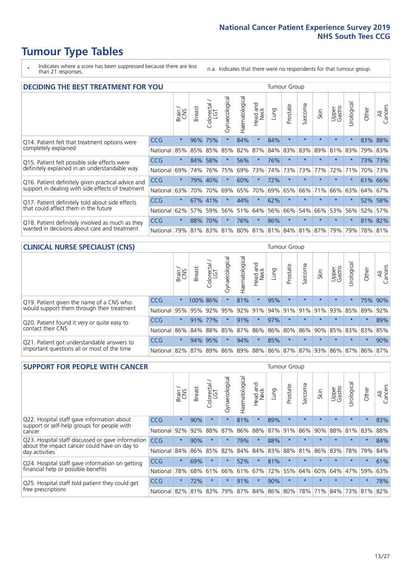# **Tumour Type Tables**

- \* Indicates where a score has been suppressed because there are less than 21 responses.
- n.a. Indicates that there were no respondents for that tumour group.

| <b>DECIDING THE BEST TREATMENT FOR YOU</b>         |            |         |               |                             |                |                |                         |      | <b>Tumour Group</b> |                         |         |                 |            |         |                |
|----------------------------------------------------|------------|---------|---------------|-----------------------------|----------------|----------------|-------------------------|------|---------------------|-------------------------|---------|-----------------|------------|---------|----------------|
|                                                    |            | Brain   | <b>Breast</b> | olorectal.<br>LGT<br>$\cup$ | Gynaecological | Haematological | ead and<br>Neck<br>Head | Lung | Prostate            | arcoma<br>vĀ            | Skin    | Upper<br>Gastro | Jrological | Other   | All<br>Cancers |
| Q14. Patient felt that treatment options were      | CCG        | $\star$ | 96%           | 75%                         | $\star$        | 84%            | $\star$                 | 84%  | $\star$             | $\star$                 | $\star$ | $\star$         | $\star$    | 83%     | 88%            |
| completely explained                               | National   | 85%     | 85%           | 85%                         | 85%            | 82%            | 87%                     | 84%  | 83%                 | 83%                     | 89%     | 81%             | 83%        | 79%     | 83%            |
| Q15. Patient felt possible side effects were       | CCG        | $\star$ | 84%           | 58%                         | $\star$        | 56%            | $\star$                 | 76%  | $\star$             | 大                       |         | $\star$         | $\star$    | 73%     | 73%            |
| definitely explained in an understandable way      | National   | 69%     | 74%           | 76%                         | 75%            | 69%            | 73%                     | 74%  | 73%                 | 73%                     | 77%     | 72%             | 71%        | 70%     | 73%            |
| Q16. Patient definitely given practical advice and | <b>CCG</b> | $\star$ | 79%           | 40%                         | $\star$        | 60%            | $\star$                 | 72%  | $\star$             | $\star$                 | $\star$ | $\star$         | $\star$    |         | 61% 66%        |
| support in dealing with side effects of treatment  | National   | 63%     | 70%           | 70%                         | 69%            | 65%            | 70%                     | 69%  | 65%                 | 66%                     | 71%     | 66%             | 63%        | 64%     | 67%            |
| Q17. Patient definitely told about side effects    | CCG        | $\star$ | 67%           | 41%                         | $\star$        | 44%            | $\star$                 | 62%  | $\star$             | $\star$                 | $\star$ | $\star$         | $^\star$   | 52%     | 58%            |
| that could affect them in the future               | National   | 62%     | 57%           | 59%                         | 56%            | 51%            | 64%                     | 56%  | 66%                 | 54%                     | 66%     | 53%             | 56%        | 52%     | 57%            |
| Q18. Patient definitely involved as much as they   | CCG        | $\star$ | 88%           | 70%                         | $\star$        | 76%            | $\ast$                  | 86%  | $\star$             | $\star$                 | $\star$ | $\star$         | $^\star$   |         | 81% 82%        |
| wanted in decisions about care and treatment       | National   | 79%     |               |                             | 81% 83% 81%    |                |                         |      |                     | 80% 81% 81% 84% 81% 87% |         | 79%             | 79%        | 78% 81% |                |

#### **CLINICAL NURSE SPECIALIST (CNS)** Tumour Group

|                                             |            | Brain   | <b>Breast</b> | Colorectal<br>LGT | $\sigma$<br>Gynaecologic | Haematological | Head and<br>Neck | Lung | Prostate        | Sarcoma | Skin                        | Upper<br>Gastro | Urologica       | Other   | All<br>Cancers |
|---------------------------------------------|------------|---------|---------------|-------------------|--------------------------|----------------|------------------|------|-----------------|---------|-----------------------------|-----------------|-----------------|---------|----------------|
| Q19. Patient given the name of a CNS who    | <b>CCG</b> | $\star$ | 100% 86%      |                   |                          | 81%            | $\star$          | 95%  | $\star$         | $\star$ | $\star$                     | $\star$         | $\star$         |         | 75% 90%        |
| would support them through their treatment  | National   | 95%     | 95%           | 92%               | 95%                      |                | 92% 91%          |      | 94% 91%         | 91%     | 91%                         | 93%             | 85%             | 89%     | 92%            |
| Q20. Patient found it very or quite easy to | CCG        | $\star$ | 91%           | $77\%$            |                          | 91%            | $\star$          | 97%  | $\star$         | $\star$ | $\star$                     | $\star$         | $\star$         | $\star$ | 89%            |
| contact their CNS                           | National   | 86%     | 84%           | 88%               | 85%                      |                |                  |      | 87% 86% 86% 80% | 86%     | 90%                         |                 | 85% 83% 83% 85% |         |                |
| Q21. Patient got understandable answers to  | CCG        | $\star$ | 94%           | 95%               | $\star$                  | 94%            | $\star$          | 85%  | $\star$         | $\star$ | $\star$                     | $\star$         | $\star$         | $\star$ | 90%            |
| important questions all or most of the time | National   | 82%     | 87%           | 89%               |                          |                |                  |      |                 |         | 86% 89% 88% 86% 87% 87% 93% |                 | 86% 87% 86% 87% |         |                |

| <b>SUPPORT FOR PEOPLE WITH CANCER</b>                                                             |            |         |               |                             |                |                |                        |      | Tumour Group |         |         |                 |            |         |                |
|---------------------------------------------------------------------------------------------------|------------|---------|---------------|-----------------------------|----------------|----------------|------------------------|------|--------------|---------|---------|-----------------|------------|---------|----------------|
|                                                                                                   |            | Brain   | <b>Breast</b> | ∼<br>olorectal.<br>LGT<br>Ũ | Gynaecological | Haematological | ad and<br>Neck<br>Head | Lung | Prostate     | Sarcoma | Skin    | Upper<br>Gastro | Jrological | Other   | All<br>Cancers |
| Q22. Hospital staff gave information about<br>support or self-help groups for people with         | <b>CCG</b> | $\star$ | 90%           | $\star$                     | $\star$        | 81%            | $\star$                | 89%  | $\star$      | $\star$ | $\star$ | $\star$         | $\star$    | $\star$ | 83%            |
| cancer                                                                                            | National   | 92%     | 92%           | 88%                         | 87%            | 86%            | 88%                    | 87%  | 91%          | 86%     | 90%     | 88%             | 81%        | 83%     | 88%            |
| Q23. Hospital staff discussed or gave information<br>about the impact cancer could have on day to | CCG        | $\star$ | 90%           | $\star$                     | $\star$        | 79%            | $\star$                | 88%  | $\star$      | $\star$ |         | $\star$         | $\star$    | $\ast$  | 84%            |
| day activities                                                                                    | National   | 84%     | 86%           | 85%                         | 82%            | 84%            | 84%                    | 83%  | 88%          | 81%     | 86%     | 83%             | 78%        | 79%     | 84%            |
| Q24. Hospital staff gave information on getting                                                   | CCG        | $\star$ | 69%           |                             | $\star$        | 52%            | $^\star$               | 81%  | $\star$      | $\star$ |         | $\star$         | $\star$    | $\star$ | 61%            |
| financial help or possible benefits                                                               | National   | 78%     | 68%           | 61%                         | 66%            | 61%            | 67%                    | 72%  | 55%          | 64%     | 60%     | 64%             | 47%        | 59%     | 63%            |
| Q25. Hospital staff told patient they could get                                                   | <b>CCG</b> | $\star$ | 72%           | $\star$                     | $\star$        | 91%            | $\star$                | 90%  | $\star$      | $\star$ |         | $\star$         | $\star$    | $\star$ | 78%            |
| free prescriptions                                                                                | National   | 82%     | 81%           | 83%                         | 79%            | 87%            |                        |      | 84% 86% 80%  | 78%     | 71%     | 84%             | 73%        | 81%     | 82%            |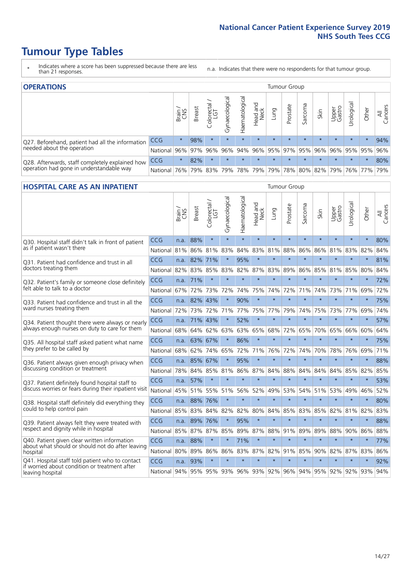# **Tumour Type Tables**

- \* Indicates where a score has been suppressed because there are less than 21 responses.
- n.a. Indicates that there were no respondents for that tumour group.

| <b>OPERATIONS</b>                                |            |              |               |                   |                |                |                  |         | Tumour Group            |         |         |                 |                                                       |         |                |
|--------------------------------------------------|------------|--------------|---------------|-------------------|----------------|----------------|------------------|---------|-------------------------|---------|---------|-----------------|-------------------------------------------------------|---------|----------------|
|                                                  |            | Brain<br>CNS | <b>Breast</b> | Colorectal<br>LGT | Gynaecological | Haematological | Head and<br>Neck | Lung    | Prostate                | Sarcoma | Skin    | Upper<br>Gastro | Jrological                                            | Other   | All<br>Cancers |
| Q27. Beforehand, patient had all the information | <b>CCG</b> | $\star$      | 98%           | $\star$           | $\star$        | $\star$        | $\star$          | $\star$ | $\star$                 | $\star$ | $\star$ | $\star$         | $\star$                                               | $\star$ | 94%            |
| needed about the operation                       | National   | 96%          |               | 97% 96%           | 96%            |                |                  |         | 94% 96% 95% 97% 95% 96% |         |         |                 | 96% 95% 95%                                           |         | 96%            |
| Q28. Afterwards, staff completely explained how  | <b>CCG</b> | $\star$      | 82%           | $\star$           | $\star$        | $\star$        | $\star$          | $\star$ | $\star$                 | $\star$ | $\star$ | $\star$         | $\star$                                               | $\star$ | 80%            |
| operation had gone in understandable way         | National I | 76%          |               | 79% 83%           |                |                |                  |         |                         |         |         |                 | 79%  78%  79%  79%  78%  80%  82%  79%  76%  77%  79% |         |                |

#### **HOSPITAL CARE AS AN INPATIENT** Tumour Group

|                                                                                                  |            | Brain | Breast       | Colorectal /<br>LGT | Gynaecological | Haematological | Head and<br>Neck | Lung    | Prostate | Sarcoma | Skin    | Upper<br>Gastro | Urological                                      | Other   | Cancers<br>$\overline{\overline{z}}$ |
|--------------------------------------------------------------------------------------------------|------------|-------|--------------|---------------------|----------------|----------------|------------------|---------|----------|---------|---------|-----------------|-------------------------------------------------|---------|--------------------------------------|
| Q30. Hospital staff didn't talk in front of patient                                              | CCG        | n.a.  | 88%          | $\star$             | $\star$        | $\star$        | $\star$          | $\star$ | $\star$  | $\star$ | $\star$ | $\star$         | $\star$                                         | $\star$ | 80%                                  |
| as if patient wasn't there                                                                       | National   | 81%   | 86%          | 81%                 | 83%            | 84%            | 83%              | 81%     | 88%      | 86%     | 86%     | 81%             | 83%                                             | 82%     | 84%                                  |
| Q31. Patient had confidence and trust in all                                                     | CCG        | n.a.  | 82% 71%      |                     | $\star$        | 95%            | $\star$          | $\star$ | $\star$  | $\star$ | $\star$ | $\star$         | $\star$                                         | $\star$ | 81%                                  |
| doctors treating them                                                                            | National   | 82%   | 83%          | 85%                 | 83%            | 82%            |                  | 87% 83% | 89%      | 86%     | 85%     | 81%             | 85%                                             | 80%     | 84%                                  |
| Q32. Patient's family or someone close definitely                                                | CCG        | n.a.  | 71%          | $\star$             | $\star$        | $\star$        | $\star$          | $\star$ | $\star$  | $\star$ | $\star$ | $\star$         | $\star$                                         | $\star$ | 72%                                  |
| felt able to talk to a doctor                                                                    | National   | 67%   | 72%          | 73%                 | 72%            | 74%            | 75%              | 74%     | 72%      | 71%     | 74%     | 73%             | 71%                                             | 69%     | 72%                                  |
| O33. Patient had confidence and trust in all the                                                 | <b>CCG</b> | n.a.  | 82%          | 43%                 |                | 90%            | $\star$          | $\star$ | $\star$  | $\star$ | $\star$ | $\star$         | $\star$                                         | $\star$ | 75%                                  |
| ward nurses treating them                                                                        | National   | 72%   | 73%          | 72%                 | 71%            | 77%            |                  | 75% 77% | 79%      | 74%     | 75%     |                 | 73% 77%                                         | 69%     | 74%                                  |
| Q34. Patient thought there were always or nearly                                                 | CCG        | n.a.  | 71%          | 43%                 | $\star$        | 52%            | $\star$          | $\star$ | $\star$  | $\star$ | $\star$ | $\star$         | $\star$                                         | $\star$ | 57%                                  |
| always enough nurses on duty to care for them                                                    | National   | 68%   | 64%          | 62%                 | 63%            | 63%            |                  | 65% 68% | 72%      | 65%     |         | 70% 65%         | 66%                                             | 60%     | 64%                                  |
| Q35. All hospital staff asked patient what name                                                  | CCG        | n.a.  | 63% 67%      |                     | $\star$        | 86%            | $\star$          | $\star$ | $\star$  | $\star$ | $\star$ | $\star$         | $\star$                                         | $\star$ | 75%                                  |
| they prefer to be called by                                                                      | National   | 68%   | 62%          | 74%                 | 65%            | 72%            | 71%              | 76%     | 72%      | 74%     | 70%     | 78%             | 76%                                             | 69%     | 71%                                  |
| Q36. Patient always given enough privacy when                                                    | CCG        | n.a.  | 85% 67%      |                     |                | 95%            | $\star$          | $\star$ | $\star$  | $\star$ | $\star$ | $\star$         | $\star$                                         | $\star$ | 88%                                  |
| discussing condition or treatment                                                                | National   | 78%   |              | 84% 85%             | 81%            | 86%            |                  | 87% 84% | 88%      | 84%     | 84%     | 84%             | 85%                                             | 82%     | 85%                                  |
| Q37. Patient definitely found hospital staff to                                                  | <b>CCG</b> | n.a.  | 57%          | $\star$             | $\star$        | $\star$        | $\star$          | $\star$ | $\star$  | $\star$ | $\star$ | $\star$         | $\star$                                         | $\star$ | 53%                                  |
| discuss worries or fears during their inpatient visit                                            | National   | 45%   | 51%          | 55%                 |                | 51% 56%        | 52%              | 49%     | 53%      | 54%     | 51%     | 53%             | 49%                                             | 46%     | 52%                                  |
| Q38. Hospital staff definitely did everything they                                               | CCG        |       | n.a. 88% 76% |                     | $\star$        | $\star$        | $\star$          | $\star$ | $\star$  | $\star$ | $\star$ | $\star$         | $\star$                                         | $\star$ | 80%                                  |
| could to help control pain                                                                       | National   | 85%   | 83%          | 84%                 | 82%            | 82%            |                  | 80% 84% | 85%      | 83%     | 85%     | 82%             | 81%                                             | 82%     | 83%                                  |
| Q39. Patient always felt they were treated with                                                  | CCG        | n.a.  | 89% 76%      |                     | $\star$        | 95%            | $\star$          | $\star$ | $\star$  | $\star$ | $\star$ | $\star$         | $\star$                                         | $\star$ | 88%                                  |
| respect and dignity while in hospital                                                            | National   | 85%   | 87%          | 87%                 | 85%            | 89%            | 87%              | 88%     | 91%      | 89%     | 89%     | 88%             | 90%                                             | 86%     | 88%                                  |
| Q40. Patient given clear written information<br>about what should or should not do after leaving | <b>CCG</b> | n.a.  | 88%          | $\star$             |                | 71%            | $\star$          | $\star$ | $\star$  | $\star$ | $\star$ | $\star$         | $\star$                                         | $\star$ | 77%                                  |
| hospital                                                                                         | National   | 80%   | 89%          | 86%                 | 86%            | 83%            |                  | 87% 82% | 91%      | 85%     | 90%     | 82%             | 87%                                             | 83%     | 86%                                  |
| Q41. Hospital staff told patient who to contact<br>if worried about condition or treatment after | CCG        | n.a.  | 93%          | $\star$             | $\star$        | $\star$        | $\star$          | $\star$ | $\star$  | $\star$ | $\star$ | $\star$         | $\star$                                         | $\star$ | 92%                                  |
| leaving hospital                                                                                 | National   |       |              |                     |                |                |                  |         |          |         |         |                 | 94% 95% 95% 93% 96% 93% 92% 96% 94% 95% 92% 92% | 93% 94% |                                      |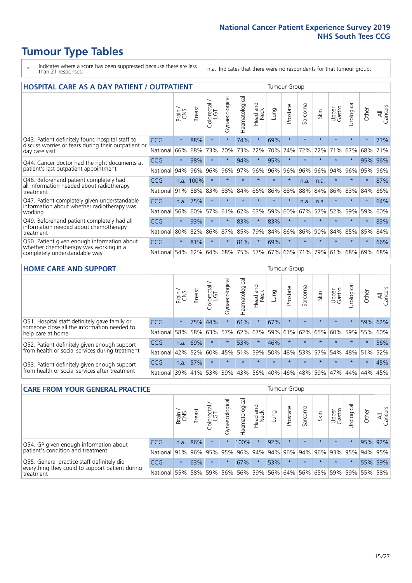# **Tumour Type Tables**

- \* Indicates where a score has been suppressed because there are less than 21 responses.
- n.a. Indicates that there were no respondents for that tumour group.

|                                                                        | <b>HOSPITAL CARE AS A DAY PATIENT / OUTPATIENT</b> |         |               |                 |                |                |                         |         |          |              |         |                 |            |         |                |
|------------------------------------------------------------------------|----------------------------------------------------|---------|---------------|-----------------|----------------|----------------|-------------------------|---------|----------|--------------|---------|-----------------|------------|---------|----------------|
|                                                                        |                                                    | Brain   | <b>Breast</b> | ∽<br>Colorectal | Gynaecological | Haematological | ead and<br>Neck<br>Head | Lung    | Prostate | arcoma<br>vĀ | Skin    | Upper<br>Gastro | Urological | Other   | All<br>Cancers |
| Q43. Patient definitely found hospital staff to                        | CCG                                                | $\star$ | 88%           | $\star$         | $\star$        | 74%            | $\star$                 | 69%     | $\star$  | $\star$      | $\star$ | $\star$         | $\star$    | $\star$ | 73%            |
| discuss worries or fears during their outpatient or<br>day case visit  | National                                           | 66%     | 68%           | 73%             | 70%            | 73%            | 72%                     | 70%     | 74%      | 72%          | 72%     | 71%             | 67%        | 68%     | 71%            |
| Q44. Cancer doctor had the right documents at                          | CCG                                                | $\star$ | 98%           | $\star$         | $\star$        | 94%            | $\star$                 | 95%     | $\star$  | $\star$      |         | $\star$         | $\star$    | 95%     | 96%            |
| patient's last outpatient appointment                                  | National                                           | 94%     | 96%           | 96%             | 96%            | 97%            | 96%                     | 96%     | 96%      | 96%          | 96%     | 94%             | 96%        | 95%     | 96%            |
| Q46. Beforehand patient completely had                                 | <b>CCG</b>                                         | n.a.    | 100%          | $\star$         |                |                | $\star$                 | $\star$ | $\star$  | n.a.         | n.a.    | $\star$         | $\star$    | $\star$ | 87%            |
| all information needed about radiotherapy<br>treatment                 | National                                           | 91%     | 88%           | 83%             | 88%            | 84%            | 86%                     | 86%     | 88%      | 88%          | 84%     | 86%             | 83%        | 84%     | 86%            |
| Q47. Patient completely given understandable                           | <b>CCG</b>                                         | n.a.    | 75%           | $\star$         |                |                | $\star$                 | $\star$ | $\star$  | n.a.         | n.a.    | $\star$         |            | $\ast$  | 64%            |
| information about whether radiotherapy was<br>working                  | National                                           | 56%     | 60%           | 57%             | 61%            | 62%            | 63%                     | 59%     | 60%      | 67%          | 57%     | 52%             | 59%        | 59%     | 60%            |
| Q49. Beforehand patient completely had all                             | CCG                                                | $\star$ | 93%           | $\star$         | $\star$        | 83%            | $\star$                 | 83%     | $\star$  | $\star$      | $\star$ | $\star$         | $\star$    | $\ast$  | 83%            |
| information needed about chemotherapy<br>treatment                     | National                                           | 80%     | 82%           | 86%             | 87%            | 85%            | 79%                     | 84%     | 86%      | 86%          | 90%     | 84%             | 85%        | 85%     | 84%            |
| Q50. Patient given enough information about                            | <b>CCG</b>                                         | $\star$ | 81%           | $\star$         |                | 81%            | $\star$                 | 69%     | $\star$  | $\star$      |         |                 |            | $\star$ | 66%            |
| whether chemotherapy was working in a<br>completely understandable way | National                                           | 54%     | 62%           | 64%             | 68%            | 75%            |                         | 57% 67% | 66%      | 71%          | 79%     | 61%             | 68%        | 69%     | 68%            |

#### **HOME CARE AND SUPPORT** Tumour Group

|                                                                                              |            | Brain   | <b>Breast</b> | Colorectal<br>LGT | ᢛ<br>Gynaecologic | Haematological | ad and<br>Neck<br>Head | <b>Lung</b> | Prostate | Sarcoma | Skin    | Upper<br>Gastro | Urological  | Other   | All<br>Cancers |
|----------------------------------------------------------------------------------------------|------------|---------|---------------|-------------------|-------------------|----------------|------------------------|-------------|----------|---------|---------|-----------------|-------------|---------|----------------|
| Q51. Hospital staff definitely gave family or<br>someone close all the information needed to | <b>CCG</b> | $\star$ | 75%           | 44%               | $\star$           | 61%            | $\star$                | 67%         | $\star$  | $\star$ | $\star$ | $\star$         | $\star$     | 59%     | 62%            |
| help care at home                                                                            | National   | 58%     | 58%           | 63%               | 57%               | 62%            | 67%                    | 59%         | 61%      |         | 62% 65% | 60%             | 59%         | 55%     | 60%            |
| Q52. Patient definitely given enough support                                                 | <b>CCG</b> | n.a.    | 69%           | $\star$           | $\star$           | 53%            | $\star$                | 46%         | $\star$  |         | $\star$ | $\star$         | $\star$     | $\star$ | 56%            |
| from health or social services during treatment                                              | National   | 42%     | 52%           | 60%               |                   | 45% 51%        | 59%                    | 50%         | 48%      |         | 53% 57% |                 | 54% 48% 51% |         | 52%            |
| Q53. Patient definitely given enough support                                                 | <b>CCG</b> | n.a.    | 57%           |                   | $\star$           | $\star$        | $\star$                | $\star$     | $\star$  | $\star$ | $\star$ | $\star$         | $\star$     | $\star$ | 45%            |
| from health or social services after treatment                                               | National   | 39%     |               | 41% 53%           | 39%               | 43%            | 56%                    | 40%         | 46%      |         | 48% 59% | 47%             | 44%         | 44%     | 45%            |

| <b>CARE FROM YOUR GENERAL PRACTICE</b>                                                                     |              |         |               |                        |               | <b>Tumour Group</b> |                  |      |                 |         |                                         |                 |                |         |                |  |  |
|------------------------------------------------------------------------------------------------------------|--------------|---------|---------------|------------------------|---------------|---------------------|------------------|------|-----------------|---------|-----------------------------------------|-----------------|----------------|---------|----------------|--|--|
|                                                                                                            |              | Brain,  | <b>Breast</b> | ー<br>Colorectal<br>LGT | Gynaecologica | Haematological      | Head and<br>Neck | Lung | Prostate        | Sarcoma | Skin                                    | Upper<br>Gastro | Φ<br>Urologica | Other   | All<br>Cancers |  |  |
| Q54. GP given enough information about<br>patient's condition and treatment                                | CCG          | n.a.    | 86%           | $\star$                |               | 100%                | $\ast$           | 92%  | $\star$         | $\star$ | $\star$                                 | $\star$         | $\star$        | 95% 92% |                |  |  |
|                                                                                                            | National 91% |         |               | 96% 95%                | 95%           |                     |                  |      | 96% 94% 94% 96% |         | 94% 96% 93% 95%                         |                 |                | 94% 95% |                |  |  |
| Q55. General practice staff definitely did<br>everything they could to support patient during<br>treatment | <b>CCG</b>   | $\star$ | 63%           | $\star$                |               | 67%                 | $\star$          | 53%  | $\star$         | $\star$ | $\star$                                 | $\star$         |                |         | 55% 59%        |  |  |
|                                                                                                            | National 55% |         |               | 58% 59%                | 56%           |                     |                  |      |                 |         | 56% 59% 56% 64% 56% 65% 59% 59% 55% 58% |                 |                |         |                |  |  |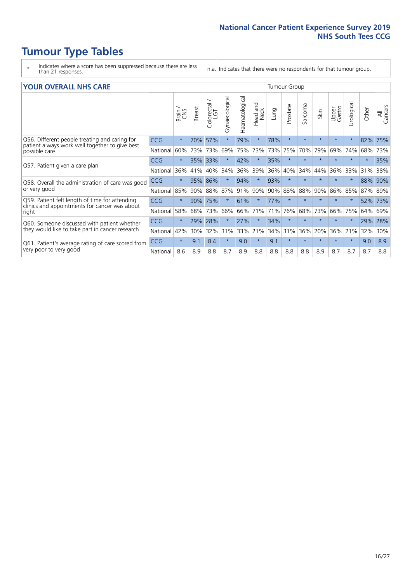# **Tumour Type Tables**

- \* Indicates where a score has been suppressed because there are less than 21 responses.
- n.a. Indicates that there were no respondents for that tumour group.

#### **YOUR OVERALL NHS CARE** THE TWO CONTROLLER THE THE THROUP CHANGE THE TUMOUR GROUP

|                                                                                                                  |            | Brain   | <b>Breast</b> | olorectal<br>LGT<br>Ũ | Gynaecological | Haematological | aad and<br>Neck<br>Head | Lung | Prostate | arcoma<br>$\sqrt{ }$ | Skin    | Upper<br>Gastro | ন্ত<br>Urologia | Other   | All<br>Cancers |
|------------------------------------------------------------------------------------------------------------------|------------|---------|---------------|-----------------------|----------------|----------------|-------------------------|------|----------|----------------------|---------|-----------------|-----------------|---------|----------------|
| Q56. Different people treating and caring for<br>patient always work well together to give best<br>possible care | <b>CCG</b> | $\star$ | 70%           | 57%                   |                | 79%            | $\star$                 | 78%  | $\star$  | $\star$              | $\star$ | $\star$         | $\star$         | 82%     | 75%            |
|                                                                                                                  | National   | 60%     | 73%           | 73%                   | 69%            | 75%            | 73%                     | 73%  | 75%      | 70%                  | 79%     | 69%             | 74%             | 68%     | 73%            |
| Q57. Patient given a care plan                                                                                   | <b>CCG</b> | $\star$ | 35%           | 33%                   |                | 42%            | $\ast$                  | 35%  | $\star$  | $\star$              | $\star$ | $\star$         | $\star$         | $\ast$  | 35%            |
|                                                                                                                  | National   | 36%     | 41%           | 40%                   | 34%            | 36%            | 39%                     | 36%  | 40%      | 34%                  | 44%     | 36%             | 33%             | 31%     | 38%            |
| Q58. Overall the administration of care was good<br>or very good                                                 | <b>CCG</b> | $\star$ | 95%           | 86%                   |                | 94%            | $\star$                 | 93%  | $\star$  | $\star$              | $\star$ | $\star$         |                 | 88%     | 90%            |
|                                                                                                                  | National   | 85%     | 90%           | 88%                   | 87%            | 91%            | 90%                     | 90%  | 88%      | 88%                  | 90%     | 86%             | 85%             | 87% 89% |                |
| Q59. Patient felt length of time for attending<br>clinics and appointments for cancer was about<br>right         | <b>CCG</b> | $\star$ | 90%           | 75%                   | $\star$        | 61%            | $^\star$                | 77%  | $\star$  | $\star$              | $\star$ | $\star$         | $\star$         | 52%     | 73%            |
|                                                                                                                  | National   | 58%     | 68%           | 73%                   | 66%            | 66%            | 71%                     | 71%  | 76%      | 68%                  | 73%     | 66%             | 75%             | 64%     | 69%            |
| Q60. Someone discussed with patient whether<br>they would like to take part in cancer research                   | <b>CCG</b> | $\star$ | 29%           | 28%                   |                | 27%            | $\star$                 | 34%  | $\star$  | $\star$              | $\star$ | $\star$         |                 | 29%     | 28%            |
|                                                                                                                  | National   | 42%     | 30%           | 32%                   | 31%            | 33%            | 21%                     | 34%  | 31%      | 36%                  | 20%     | 36%             | 21%             | 32%     | 30%            |
| Q61. Patient's average rating of care scored from<br>very poor to very good                                      | <b>CCG</b> | $\star$ | 9.1           | 8.4                   | $\star$        | 9.0            | $\star$                 | 9.1  | $\star$  | $\star$              | $\star$ | $\star$         | $\star$         | 9.0     | 8.9            |
|                                                                                                                  | National   | 8.6     | 8.9           | 8.8                   | 8.7            | 8.9            | 8.8                     | 8.8  | 8.8      | 8.8                  | 8.9     | 8.7             | 8.7             | 8.7     | 8.8            |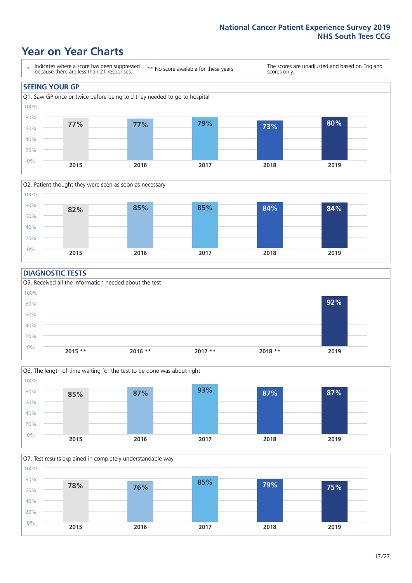### **Year on Year Charts**





#### **DIAGNOSTIC TESTS**





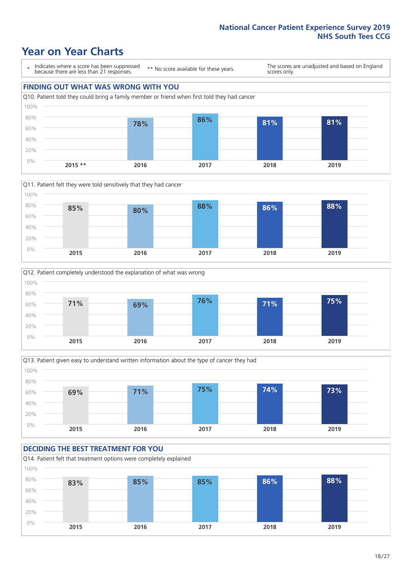## **Year on Year Charts**

\* Indicates where a score has been suppressed because there are less than 21 responses.

\*\* No score available for these years.

The scores are unadjusted and based on England scores only.

#### **FINDING OUT WHAT WAS WRONG WITH YOU** Q10. Patient told they could bring a family member or friend when first told they had cancer 0% 20% 40% 60% 80% 100% **2015 \*\* 2016 2017 2018 2019 78% 86% 81% 81%**







#### **DECIDING THE BEST TREATMENT FOR YOU** Q14. Patient felt that treatment options were completely explained 0% 20% 40% 60% 80% 100% **2015 2016 2017 2018 2019 83% 85% 85% 86% 88%**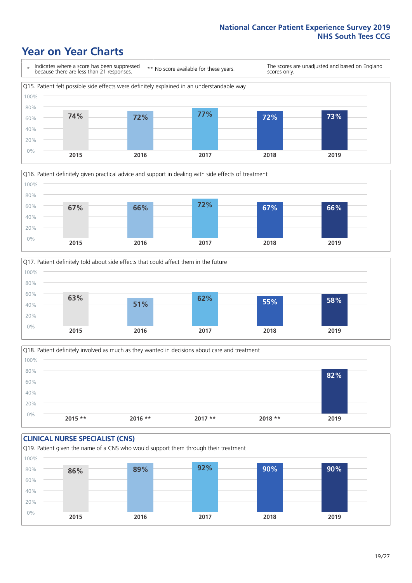### **Year on Year Charts**







Q18. Patient definitely involved as much as they wanted in decisions about care and treatment  $0%$ 20% 40% 60% 80% 100% **2015 \*\* 2016 \*\* 2017 \*\* 2018 \*\* 2019 82%**

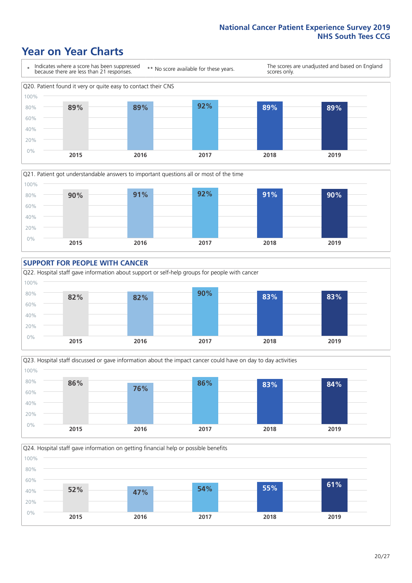### **Year on Year Charts**









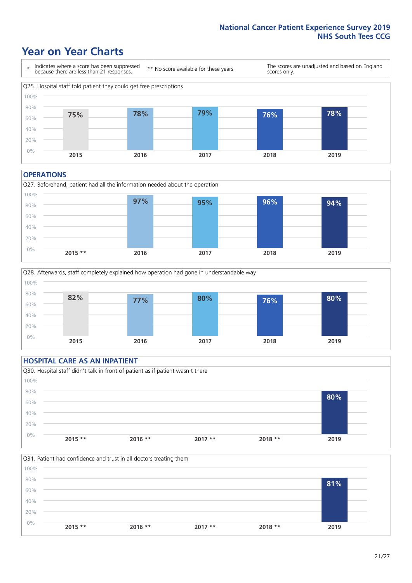### **Year on Year Charts**



#### **OPERATIONS**





#### **HOSPITAL CARE AS AN INPATIENT** Q30. Hospital staff didn't talk in front of patient as if patient wasn't there 0% 20% 40% 60% 80% 100% **2015 \*\* 2016 \*\* 2017 \*\* 2018 \*\* 2019 80%**

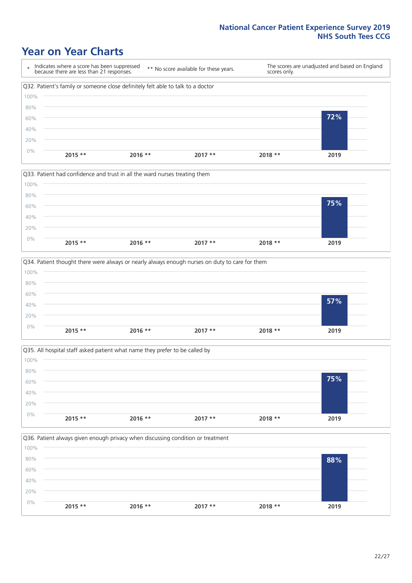### **Year on Year Charts**









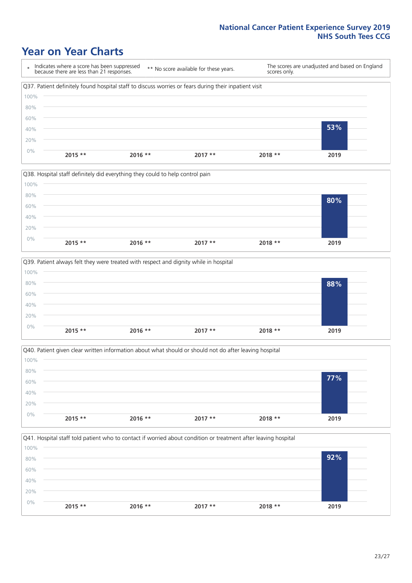### **Year on Year Charts**





![](_page_22_Figure_4.jpeg)

![](_page_22_Figure_5.jpeg)

![](_page_22_Figure_6.jpeg)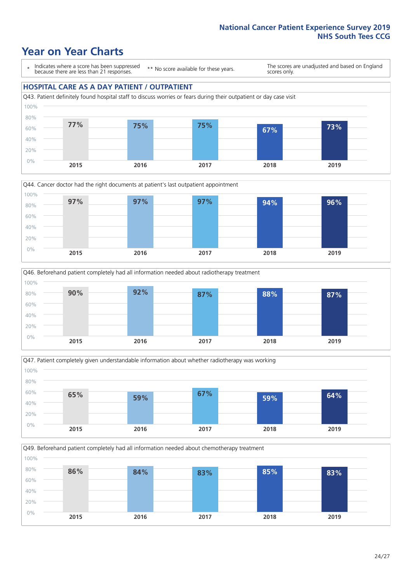### **Year on Year Charts**

\* Indicates where a score has been suppressed because there are less than 21 responses.

\*\* No score available for these years.

The scores are unadjusted and based on England scores only.

#### **HOSPITAL CARE AS A DAY PATIENT / OUTPATIENT**

![](_page_23_Figure_6.jpeg)

![](_page_23_Figure_7.jpeg)

![](_page_23_Figure_8.jpeg)

![](_page_23_Figure_9.jpeg)

Q49. Beforehand patient completely had all information needed about chemotherapy treatment 0% 20% 40% 60% 80% 100% **2015 2016 2017 2018 2019 86% 84% 83% 85% 83%**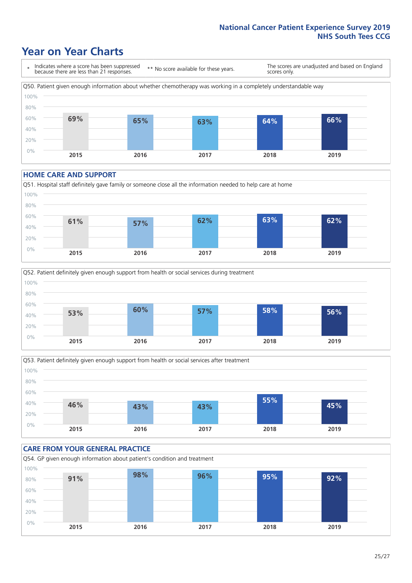### **Year on Year Charts**

\* Indicates where a score has been suppressed because there are less than 21 responses. \*\* No score available for these years. The scores are unadjusted and based on England scores only. Q50. Patient given enough information about whether chemotherapy was working in a completely understandable way 0% 20% 40% 60% 80% 100% **2015 2016 2017 2018 2019 69% 65% 63% 64% 66%**

#### **HOME CARE AND SUPPORT**

![](_page_24_Figure_4.jpeg)

![](_page_24_Figure_5.jpeg)

![](_page_24_Figure_6.jpeg)

![](_page_24_Figure_7.jpeg)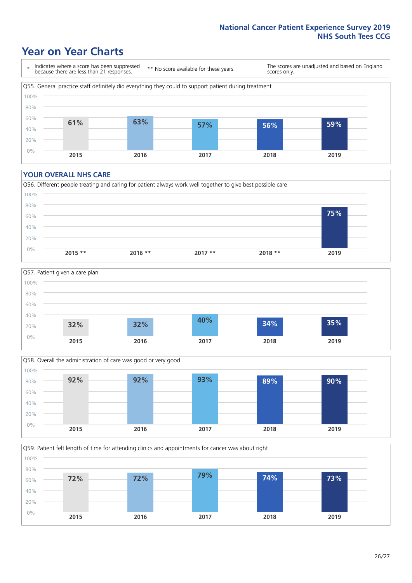### **Year on Year Charts**

\* Indicates where a score has been suppressed because there are less than 21 responses.

\*\* No score available for these years.

The scores are unadjusted and based on England scores only.

![](_page_25_Figure_5.jpeg)

#### **YOUR OVERALL NHS CARE**

![](_page_25_Figure_7.jpeg)

![](_page_25_Figure_8.jpeg)

![](_page_25_Figure_9.jpeg)

Q59. Patient felt length of time for attending clinics and appointments for cancer was about right

![](_page_25_Figure_11.jpeg)